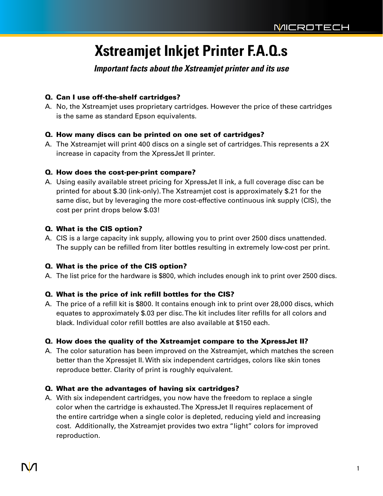# **Xstreamjet Inkjet Printer F.A.Q.s**

*Important facts about the Xstreamjet printer and its use*

## Q. Can I use off-the-shelf cartridges?

A. No, the Xstreamjet uses proprietary cartridges. However the price of these cartridges is the same as standard Epson equivalents.

## Q. How many discs can be printed on one set of cartridges?

A. The Xstreamjet will print 400 discs on a single set of cartridges. This represents a 2X increase in capacity from the XpressJet II printer.

### Q. How does the cost-per-print compare?

A. Using easily available street pricing for XpressJet II ink, a full coverage disc can be printed for about \$.30 (ink-only).The Xstreamjet cost is approximately \$.21 for the same disc, but by leveraging the more cost-effective continuous ink supply (CIS), the cost per print drops below \$.03!

### Q. What is the CIS option?

A. CIS is a large capacity ink supply, allowing you to print over 2500 discs unattended. The supply can be refilled from liter bottles resulting in extremely low-cost per print.

## Q. What is the price of the CIS option?

A. The list price for the hardware is \$800, which includes enough ink to print over 2500 discs.

## Q. What is the price of ink refill bottles for the CIS?

A. The price of a refill kit is \$800. It contains enough ink to print over 28,000 discs, which equates to approximately \$.03 per disc. The kit includes liter refills for all colors and black. Individual color refill bottles are also available at \$150 each.

## Q. How does the quality of the Xstreamjet compare to the XpressJet II?

A. The color saturation has been improved on the Xstreamjet, which matches the screen better than the Xpressjet II. With six independent cartridges, colors like skin tones reproduce better. Clarity of print is roughly equivalent.

## Q. What are the advantages of having six cartridges?

A. With six independent cartridges, you now have the freedom to replace a single color when the cartridge is exhausted.The XpressJet II requires replacement of the entire cartridge when a single color is depleted, reducing yield and increasing cost. Additionally, the Xstreamjet provides two extra "light" colors for improved reproduction.